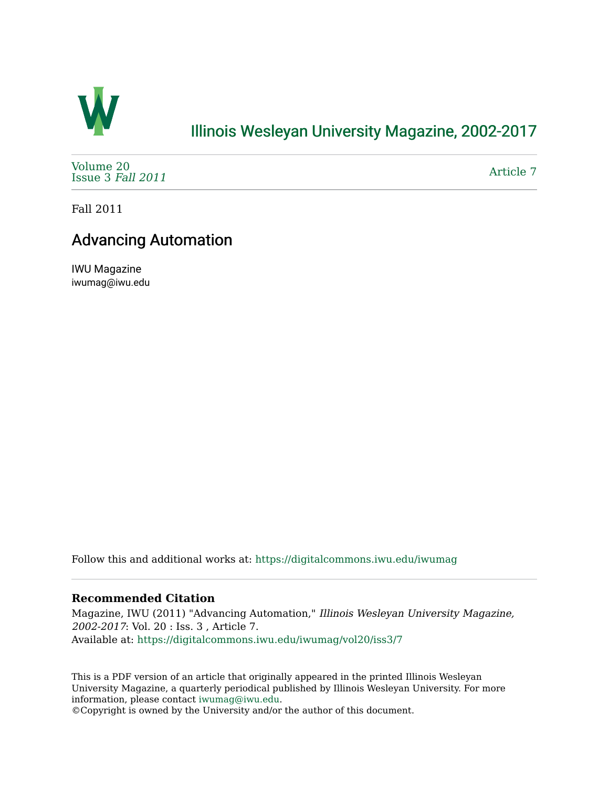

## [Illinois Wesleyan University Magazine, 2002-2017](https://digitalcommons.iwu.edu/iwumag)

[Volume 20](https://digitalcommons.iwu.edu/iwumag/vol20)  [Issue 3](https://digitalcommons.iwu.edu/iwumag/vol20/iss3) Fall 2011

[Article 7](https://digitalcommons.iwu.edu/iwumag/vol20/iss3/7) 

Fall 2011

## Advancing Automation

IWU Magazine iwumag@iwu.edu

Follow this and additional works at: [https://digitalcommons.iwu.edu/iwumag](https://digitalcommons.iwu.edu/iwumag?utm_source=digitalcommons.iwu.edu%2Fiwumag%2Fvol20%2Fiss3%2F7&utm_medium=PDF&utm_campaign=PDFCoverPages) 

## **Recommended Citation**

Magazine, IWU (2011) "Advancing Automation," Illinois Wesleyan University Magazine, 2002-2017: Vol. 20 : Iss. 3 , Article 7. Available at: [https://digitalcommons.iwu.edu/iwumag/vol20/iss3/7](https://digitalcommons.iwu.edu/iwumag/vol20/iss3/7?utm_source=digitalcommons.iwu.edu%2Fiwumag%2Fvol20%2Fiss3%2F7&utm_medium=PDF&utm_campaign=PDFCoverPages)

This is a PDF version of an article that originally appeared in the printed Illinois Wesleyan University Magazine, a quarterly periodical published by Illinois Wesleyan University. For more information, please contact [iwumag@iwu.edu](mailto:iwumag@iwu.edu).

©Copyright is owned by the University and/or the author of this document.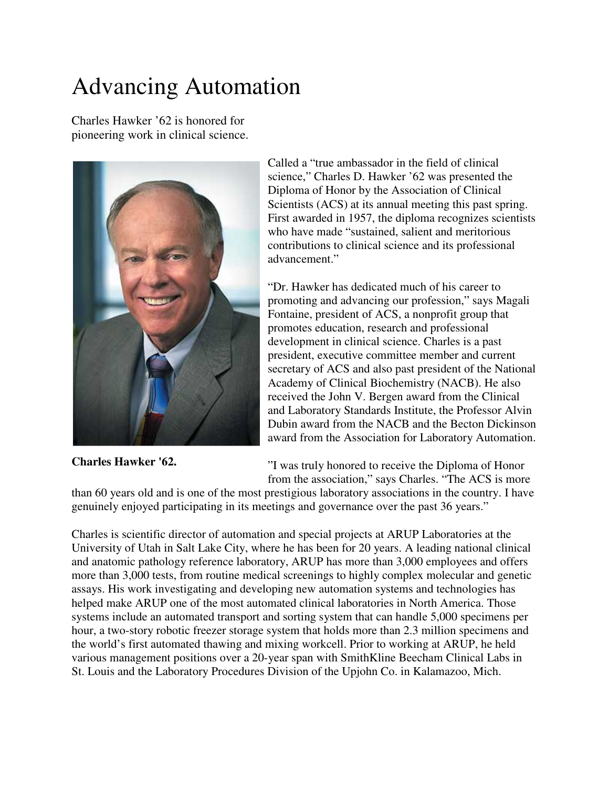## Advancing Automation

Charles Hawker '62 is honored for pioneering work in clinical science.



**Charles Hawker '62.**

Called a "true ambassador in the field of clinical science," Charles D. Hawker '62 was presented the Diploma of Honor by the Association of Clinical Scientists (ACS) at its annual meeting this past spring. First awarded in 1957, the diploma recognizes scientists who have made "sustained, salient and meritorious contributions to clinical science and its professional advancement."

"Dr. Hawker has dedicated much of his career to promoting and advancing our profession," says Magali Fontaine, president of ACS, a nonprofit group that promotes education, research and professional development in clinical science. Charles is a past president, executive committee member and current secretary of ACS and also past president of the National Academy of Clinical Biochemistry (NACB). He also received the John V. Bergen award from the Clinical and Laboratory Standards Institute, the Professor Alvin Dubin award from the NACB and the Becton Dickinson award from the Association for Laboratory Automation.

"I was truly honored to receive the Diploma of Honor from the association," says Charles. "The ACS is more

than 60 years old and is one of the most prestigious laboratory associations in the country. I have genuinely enjoyed participating in its meetings and governance over the past 36 years."

Charles is scientific director of automation and special projects at ARUP Laboratories at the University of Utah in Salt Lake City, where he has been for 20 years. A leading national clinical and anatomic pathology reference laboratory, ARUP has more than 3,000 employees and offers more than 3,000 tests, from routine medical screenings to highly complex molecular and genetic assays. His work investigating and developing new automation systems and technologies has helped make ARUP one of the most automated clinical laboratories in North America. Those systems include an automated transport and sorting system that can handle 5,000 specimens per hour, a two-story robotic freezer storage system that holds more than 2.3 million specimens and the world's first automated thawing and mixing workcell. Prior to working at ARUP, he held various management positions over a 20-year span with SmithKline Beecham Clinical Labs in St. Louis and the Laboratory Procedures Division of the Upjohn Co. in Kalamazoo, Mich.